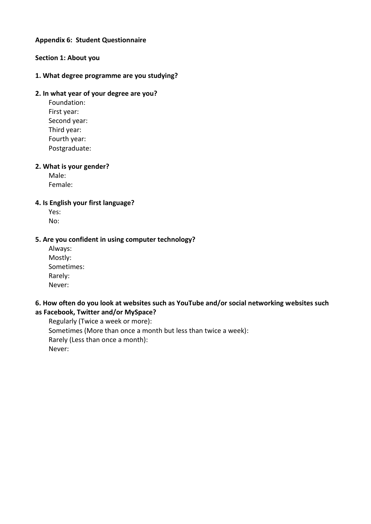# **Appendix 6: Student Questionnaire**

### **Section 1: About you**

# **1. What degree programme are you studying?**

# **2. In what year of your degree are you?**

Foundation: First year: Second year: Third year: Fourth year: Postgraduate:

### **2. What is your gender?**

Male: Female:

# **4. Is English your first language?**

Yes: No:

# **5. Are you confident in using computer technology?**

Always: Mostly: Sometimes: Rarely: Never:

# **6. How often do you look at websites such as YouTube and/or social networking websites such as Facebook, Twitter and/or MySpace?**

Regularly (Twice a week or more): Sometimes (More than once a month but less than twice a week): Rarely (Less than once a month): Never: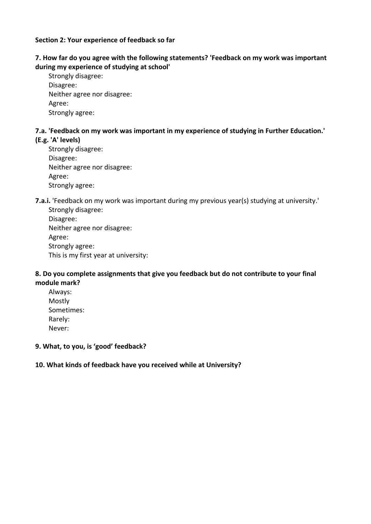### **Section 2: Your experience of feedback so far**

# **7. How far do you agree with the following statements? 'Feedback on my work was important during my experience of studying at school'**

Strongly disagree: Disagree: Neither agree nor disagree: Agree: Strongly agree:

### **7.a. 'Feedback on my work was important in my experience of studying in Further Education.' (E.g. 'A' levels)**

| . A levels)                 |
|-----------------------------|
| Strongly disagree:          |
| Disagree:                   |
| Neither agree nor disagree: |
| Agree:                      |
| Strongly agree:             |

# **7.a.i.** 'Feedback on my work was important during my previous year(s) studying at university.'

| Strongly disagree:                   |
|--------------------------------------|
| Disagree:                            |
| Neither agree nor disagree:          |
| Agree:                               |
| Strongly agree:                      |
| This is my first year at university: |

### **8. Do you complete assignments that give you feedback but do not contribute to your final module mark?**

Always: Mostly Sometimes: Rarely: Never:

### **9. What, to you, is 'good' feedback?**

# **10. What kinds of feedback have you received while at University?**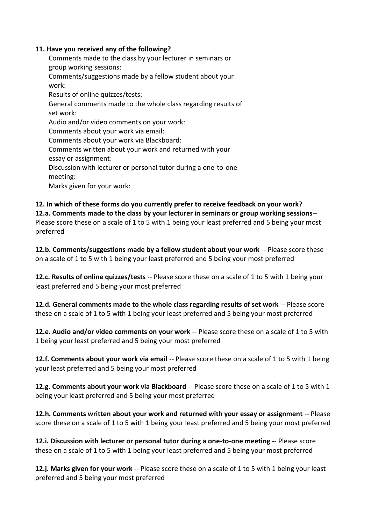### **11. Have you received any of the following?**

Comments made to the class by your lecturer in seminars or group working sessions: Comments/suggestions made by a fellow student about your work: Results of online quizzes/tests: General comments made to the whole class regarding results of set work: Audio and/or video comments on your work: Comments about your work via email: Comments about your work via Blackboard: Comments written about your work and returned with your essay or assignment: Discussion with lecturer or personal tutor during a one-to-one meeting: Marks given for your work:

**12. In which of these forms do you currently prefer to receive feedback on your work? 12.a. Comments made to the class by your lecturer in seminars or group working sessions**-- Please score these on a scale of 1 to 5 with 1 being your least preferred and 5 being your most preferred

**12.b. Comments/suggestions made by a fellow student about your work** -- Please score these on a scale of 1 to 5 with 1 being your least preferred and 5 being your most preferred

**12.c. Results of online quizzes/tests** -- Please score these on a scale of 1 to 5 with 1 being your least preferred and 5 being your most preferred

**12.d. General comments made to the whole class regarding results of set work** -- Please score these on a scale of 1 to 5 with 1 being your least preferred and 5 being your most preferred

**12.e. Audio and/or video comments on your work** -- Please score these on a scale of 1 to 5 with 1 being your least preferred and 5 being your most preferred

**12.f. Comments about your work via email** -- Please score these on a scale of 1 to 5 with 1 being your least preferred and 5 being your most preferred

**12.g. Comments about your work via Blackboard** -- Please score these on a scale of 1 to 5 with 1 being your least preferred and 5 being your most preferred

**12.h. Comments written about your work and returned with your essay or assignment** -- Please score these on a scale of 1 to 5 with 1 being your least preferred and 5 being your most preferred

**12.i. Discussion with lecturer or personal tutor during a one-to-one meeting** -- Please score these on a scale of 1 to 5 with 1 being your least preferred and 5 being your most preferred

**12.j. Marks given for your work** -- Please score these on a scale of 1 to 5 with 1 being your least preferred and 5 being your most preferred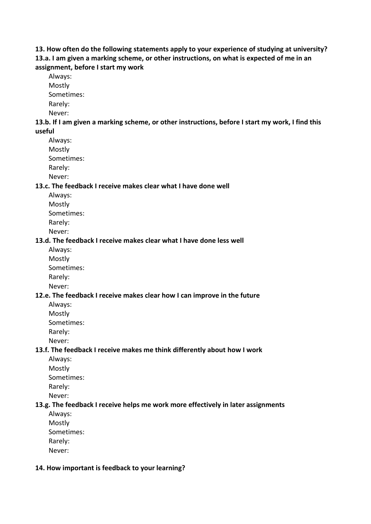**13. How often do the following statements apply to your experience of studying at university? 13.a. I am given a marking scheme, or other instructions, on what is expected of me in an assignment, before I start my work**

Always: Mostly Sometimes: Rarely: Never:

**13.b. If I am given a marking scheme, or other instructions, before I start my work, I find this useful**

Always: Mostly Sometimes: Rarely: Never:

### **13.c. The feedback I receive makes clear what I have done well**

Always: Mostly Sometimes: Rarely: Never:

# **13.d. The feedback I receive makes clear what I have done less well**

Always: Mostly Sometimes: Rarely: Never:

# **12.e. The feedback I receive makes clear how I can improve in the future**

Always: Mostly Sometimes: Rarely: Never:

### **13.f. The feedback I receive makes me think differently about how I work**

Always: Mostly Sometimes: Rarely: Never:

# **13.g. The feedback I receive helps me work more effectively in later assignments**

Always: Mostly Sometimes: Rarely: Never:

### **14. How important is feedback to your learning?**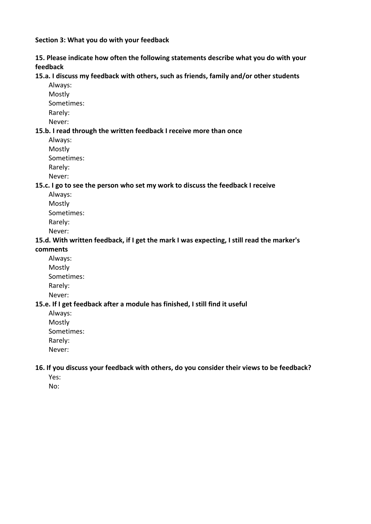**Section 3: What you do with your feedback**

**15. Please indicate how often the following statements describe what you do with your feedback**

**15.a. I discuss my feedback with others, such as friends, family and/or other students**

Always: Mostly Sometimes: Rarely: Never:

# **15.b. I read through the written feedback I receive more than once**

Always: Mostly Sometimes: Rarely:

Never:

### **15.c. I go to see the person who set my work to discuss the feedback I receive**

Always: Mostly Sometimes: Rarely: Never:

### **15.d. With written feedback, if I get the mark I was expecting, I still read the marker's comments**

- Always:
- Mostly Sometimes: Rarely: Never:

### **15.e. If I get feedback after a module has finished, I still find it useful**

Always: Mostly Sometimes: Rarely: Never:

### **16. If you discuss your feedback with others, do you consider their views to be feedback?**

Yes:

No: